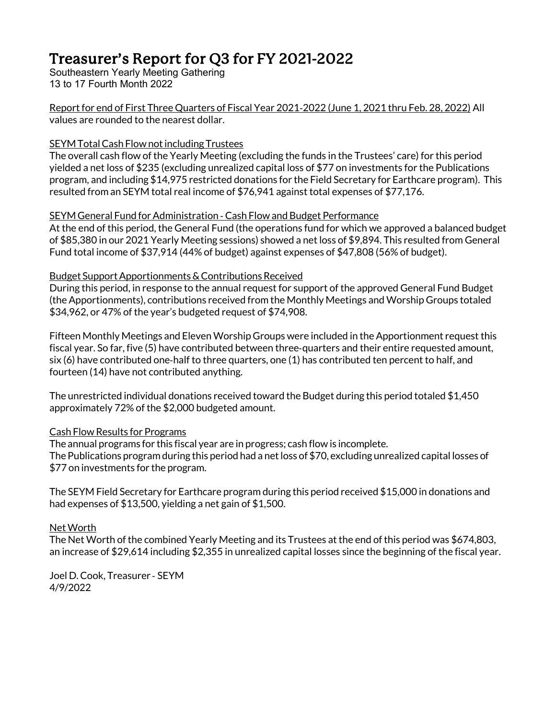# Treasurer's Report for Q3 for FY 2021-2022

Southeastern Yearly Meeting Gathering 13 to 17 Fourth Month 2022

Report for end of First Three Quarters of Fiscal Year 2021-2022 (June 1, 2021 thru Feb. 28, 2022) All values are rounded to the nearest dollar.

#### SEYM Total Cash Flow not including Trustees

The overall cash flow of the Yearly Meeting (excluding the funds in the Trustees' care) for this period yielded a net loss of \$235 (excluding unrealized capital loss of \$77 on investments for the Publications program, and including \$14,975 restricted donations for the Field Secretary for Earthcare program). This resulted from an SEYM total real income of \$76,941 against total expenses of \$77,176.

#### SEYM General Fund for Administration - Cash Flow and Budget Performance

At the end of this period, the General Fund (the operations fund for which we approved a balanced budget of \$85,380 in our 2021 Yearly Meeting sessions) showed a netloss of \$9,894. This resulted from General Fund total income of \$37,914 (44% of budget) against expenses of \$47,808 (56% of budget).

#### Budget Support Apportionments & Contributions Received

During this period, in response to the annual request for support of the approved General Fund Budget (the Apportionments), contributions received from the Monthly Meetings and Worship Groups totaled \$34,962, or 47% of the year's budgeted request of \$74,908.

Fifteen Monthly Meetings and Eleven Worship Groups were included in the Apportionment requestthis fiscal year. So far, five (5) have contributed between three-quarters and their entire requested amount, six (6) have contributed one-half to three quarters, one (1) has contributed ten percent to half, and fourteen (14) have not contributed anything.

The unrestricted individual donations received toward the Budget during this period totaled \$1,450 approximately 72% of the \$2,000 budgeted amount.

### Cash Flow Results for Programs

The annual programs for this fiscal year are in progress; cash flow is incomplete. The Publications program during this period had a net loss of \$70, excluding unrealized capital losses of \$77 on investments for the program.

The SEYM Field Secretary for Earthcare program during this period received \$15,000 in donations and had expenses of \$13,500, yielding a net gain of \$1,500.

### Net Worth

The Net Worth of the combined Yearly Meeting and its Trustees at the end of this period was \$674,803, an increase of \$29,614 including \$2,355 in unrealized capital losses since the beginning of the fiscal year.

Joel D.Cook, Treasurer - SEYM 4/9/2022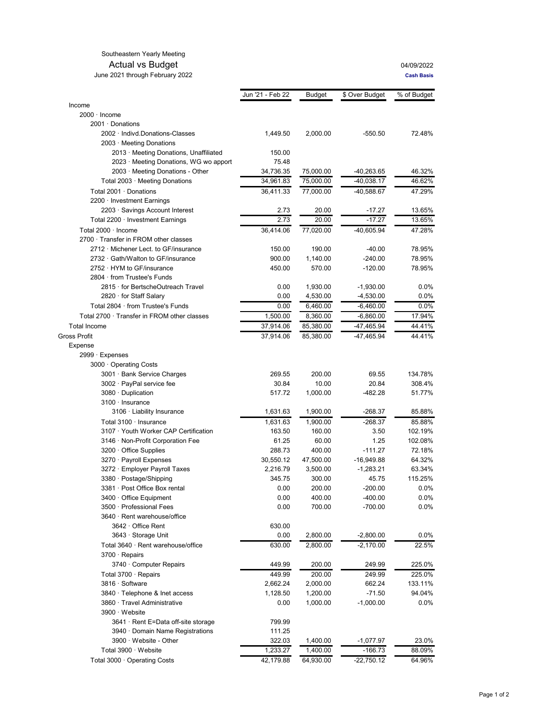#### Southeastern Yearly Meeting

#### Actual vs Budget<br>
2021 through February 2022<br>
Cash Basis June 2021 through February 2022

|                                           | Jun '21 - Feb 22 | Budget    | \$ Over Budget | % of Budget |
|-------------------------------------------|------------------|-----------|----------------|-------------|
| Income                                    |                  |           |                |             |
| $2000 \cdot$ Income                       |                  |           |                |             |
| 2001 Donations                            |                  |           |                |             |
| 2002 Indivd.Donations-Classes             | 1,449.50         | 2,000.00  | $-550.50$      | 72.48%      |
| 2003 Meeting Donations                    |                  |           |                |             |
| 2013 Meeting Donations, Unaffiliated      | 150.00           |           |                |             |
| 2023 Meeting Donations, WG wo apport      | 75.48            |           |                |             |
| 2003 · Meeting Donations - Other          | 34,736.35        | 75,000.00 | -40,263.65     | 46.32%      |
| Total 2003 · Meeting Donations            | 34,961.83        | 75,000.00 | $-40,038.17$   | 46.62%      |
| Total 2001 · Donations                    | 36,411.33        | 77,000.00 | -40,588.67     | 47.29%      |
| 2200 Investment Earnings                  |                  |           |                |             |
| 2203 Savings Account Interest             | 2.73             | 20.00     | $-17.27$       | 13.65%      |
| Total 2200 · Investment Earnings          | 2.73             | 20.00     | $-17.27$       | 13.65%      |
| Total 2000 Income                         | 36,414.06        | 77,020.00 | $-40,605.94$   | 47.28%      |
| 2700 Transfer in FROM other classes       |                  |           |                |             |
| 2712 Michener Lect. to GF/insurance       | 150.00           | 190.00    | $-40.00$       | 78.95%      |
| 2732 Gath/Walton to GF/insurance          | 900.00           | 1,140.00  | $-240.00$      | 78.95%      |
| 2752 HYM to GF/insurance                  | 450.00           | 570.00    | $-120.00$      | 78.95%      |
| 2804 from Trustee's Funds                 |                  |           |                |             |
| 2815 for BertscheOutreach Travel          | 0.00             | 1,930.00  | $-1,930.00$    | 0.0%        |
| 2820 for Staff Salary                     | 0.00             | 4,530.00  | $-4,530.00$    | 0.0%        |
| Total 2804 · from Trustee's Funds         | 0.00             | 6,460.00  | $-6,460.00$    | 0.0%        |
| Total 2700 Transfer in FROM other classes | 1,500.00         | 8,360.00  | $-6,860.00$    | 17.94%      |
| <b>Total Income</b>                       | 37,914.06        | 85,380.00 | -47,465.94     | 44.41%      |
| Gross Profit                              | 37,914.06        | 85,380.00 | -47,465.94     | 44.41%      |
| Expense                                   |                  |           |                |             |
| 2999 · Expenses                           |                  |           |                |             |
| 3000 Operating Costs                      |                  |           |                |             |
| 3001 Bank Service Charges                 | 269.55           | 200.00    | 69.55          | 134.78%     |
| 3002 PayPal service fee                   | 30.84            | 10.00     | 20.84          | 308.4%      |
| 3080 Duplication                          | 517.72           | 1,000.00  | -482.28        | 51.77%      |
| 3100 Insurance                            |                  |           |                |             |
| 3106 · Liability Insurance                | 1,631.63         | 1,900.00  | $-268.37$      | 85.88%      |
| Total 3100 Insurance                      | 1,631.63         | 1,900.00  | $-268.37$      | 85.88%      |
| 3107 Youth Worker CAP Certification       | 163.50           | 160.00    | 3.50           | 102.19%     |
| 3146 Non-Profit Corporation Fee           | 61.25            | 60.00     | 1.25           | 102.08%     |
| 3200 Office Supplies                      | 288.73           | 400.00    | $-111.27$      | 72.18%      |
| 3270 · Payroll Expenses                   | 30,550.12        | 47,500.00 | $-16,949.88$   | 64.32%      |
| 3272 Employer Payroll Taxes               | 2,216.79         | 3,500.00  | $-1,283.21$    | 63.34%      |
| 3380 Postage/Shipping                     | 345.75           | 300.00    | 45.75          | 115.25%     |
| 3381 Post Office Box rental               | 0.00             | 200.00    | $-200.00$      | 0.0%        |
| 3400 Office Equipment                     | 0.00             | 400.00    | $-400.00$      | 0.0%        |
| 3500 Professional Fees                    | 0.00             | 700.00    | -700.00        | 0.0%        |
| 3640 · Rent warehouse/office              |                  |           |                |             |
| 3642 Office Rent                          | 630.00           |           |                |             |
| 3643 · Storage Unit                       | 0.00             | 2,800.00  | $-2,800.00$    | $0.0\%$     |
| Total 3640 · Rent warehouse/office        | 630.00           | 2,800.00  | $-2,170.00$    | 22.5%       |
| 3700 Repairs                              |                  |           |                |             |
| 3740 Computer Repairs                     | 449.99           | 200.00    | 249.99         | 225.0%      |
| Total 3700 · Repairs                      | 449.99           | 200.00    | 249.99         | 225.0%      |
| 3816 · Software                           | 2,662.24         | 2,000.00  | 662.24         | 133.11%     |
| 3840 Telephone & Inet access              | 1,128.50         | 1,200.00  | $-71.50$       | 94.04%      |
| 3860 Travel Administrative                | 0.00             | 1,000.00  | $-1,000.00$    | $0.0\%$     |
| 3900 Website                              |                  |           |                |             |
| 3641 · Rent E=Data off-site storage       | 799.99           |           |                |             |
| 3940 Domain Name Registrations            | 111.25           |           |                |             |
| 3900 Website - Other                      | 322.03           | 1,400.00  | $-1,077.97$    | 23.0%       |
| Total 3900 Website                        | 1,233.27         | 1,400.00  | $-166.73$      | 88.09%      |
| Total 3000 · Operating Costs              | 42,179.88        | 64,930.00 | -22,750.12     | 64.96%      |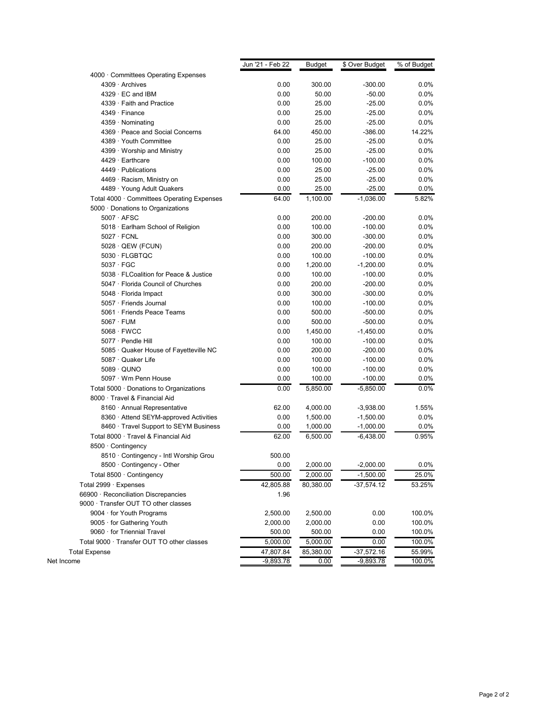|                                            | Jun '21 - Feb 22  | <b>Budget</b> | \$ Over Budget | % of Budget |
|--------------------------------------------|-------------------|---------------|----------------|-------------|
| 4000 Committees Operating Expenses         |                   |               |                |             |
| 4309 Archives                              | 0.00              | 300.00        | $-300.00$      | 0.0%        |
| 4329 EC and IBM                            | 0.00              | 50.00         | $-50.00$       | 0.0%        |
| 4339 Faith and Practice                    | 0.00              | 25.00         | $-25.00$       | $0.0\%$     |
| 4349 · Finance                             | 0.00              | 25.00         | $-25.00$       | 0.0%        |
| 4359 Nominating                            | 0.00              | 25.00         | $-25.00$       | 0.0%        |
| 4369 Peace and Social Concerns             | 64.00             | 450.00        | $-386.00$      | 14.22%      |
| 4389 Youth Committee                       | 0.00              | 25.00         | $-25.00$       | $0.0\%$     |
| 4399 Worship and Ministry                  | 0.00              | 25.00         | $-25.00$       | $0.0\%$     |
| 4429 · Earthcare                           | 0.00              | 100.00        | $-100.00$      | 0.0%        |
| 4449 Publications                          | 0.00              | 25.00         | $-25.00$       | 0.0%        |
| 4469 Racism, Ministry on                   | 0.00              | 25.00         | $-25.00$       | $0.0\%$     |
| 4489 Young Adult Quakers                   | 0.00              | 25.00         | $-25.00$       | $0.0\%$     |
| Total 4000 Committees Operating Expenses   | 64.00             | 1,100.00      | $-1,036.00$    | 5.82%       |
| 5000 Donations to Organizations            |                   |               |                |             |
| 5007 AFSC                                  | 0.00              | 200.00        | $-200.00$      | 0.0%        |
| 5018 Earlham School of Religion            | 0.00              | 100.00        | $-100.00$      | $0.0\%$     |
| $5027 \cdot FCNL$                          | 0.00              | 300.00        | $-300.00$      | 0.0%        |
| 5028 QEW (FCUN)                            | 0.00              | 200.00        | $-200.00$      | $0.0\%$     |
| 5030 FLGBTQC                               | 0.00              | 100.00        | $-100.00$      | 0.0%        |
| $5037 \cdot FGC$                           | 0.00              | 1,200.00      | $-1,200.00$    | 0.0%        |
| 5038 FLCoalition for Peace & Justice       | 0.00              | 100.00        | $-100.00$      | $0.0\%$     |
| 5047 Florida Council of Churches           | 0.00              | 200.00        | $-200.00$      | $0.0\%$     |
| 5048 Florida Impact                        | 0.00              | 300.00        | $-300.00$      | $0.0\%$     |
| 5057 Friends Journal                       | 0.00              | 100.00        | $-100.00$      | 0.0%        |
| 5061 · Friends Peace Teams                 | 0.00              | 500.00        | $-500.00$      | 0.0%        |
| $5067 \cdot FUM$                           | 0.00              | 500.00        | $-500.00$      | 0.0%        |
| 5068 FWCC                                  | 0.00              | 1,450.00      | $-1,450.00$    | 0.0%        |
| 5077 · Pendle Hill                         | 0.00              | 100.00        | $-100.00$      | 0.0%        |
| 5085 Quaker House of Fayetteville NC       | 0.00              | 200.00        | $-200.00$      | 0.0%        |
| 5087 Quaker Life                           | 0.00              | 100.00        | $-100.00$      | $0.0\%$     |
| 5089 QUNO                                  | 0.00              | 100.00        | $-100.00$      | 0.0%        |
| 5097 Wm Penn House                         | 0.00              | 100.00        | $-100.00$      | $0.0\%$     |
| Total 5000 Donations to Organizations      | 0.00              | 5,850.00      | $-5,850.00$    | 0.0%        |
| 8000 Travel & Financial Aid                |                   |               |                |             |
| 8160 Annual Representative                 | 62.00             | 4,000.00      | $-3,938.00$    | 1.55%       |
| 8360 Attend SEYM-approved Activities       | 0.00              | 1,500.00      | $-1,500.00$    | 0.0%        |
| 8460 Travel Support to SEYM Business       | 0.00              | 1,000.00      | $-1,000.00$    | $0.0\%$     |
| Total 8000 · Travel & Financial Aid        | 62.00             | 6,500.00      | $-6,438.00$    | 0.95%       |
| 8500 Contingency                           |                   |               |                |             |
| 8510 Contingency - Intl Worship Grou       | 500.00            |               |                |             |
| 8500 Contingency - Other                   | 0.00              | 2,000.00      | $-2,000.00$    | 0.0%        |
| Total 8500 Contingency                     | 500.00            | 2,000.00      | $-1,500.00$    | 25.0%       |
| Total 2999 · Expenses                      |                   | 80,380.00     | $-37,574.12$   |             |
|                                            | 42,805.88<br>1.96 |               |                | 53.25%      |
| 66900 Reconciliation Discrepancies         |                   |               |                |             |
| 9000 · Transfer OUT TO other classes       |                   |               |                |             |
| 9004 for Youth Programs                    | 2,500.00          | 2,500.00      | 0.00           | 100.0%      |
| 9005 for Gathering Youth                   | 2,000.00          | 2,000.00      | 0.00           | 100.0%      |
| 9060 for Triennial Travel                  | 500.00            | 500.00        | 0.00           | 100.0%      |
| Total 9000 · Transfer OUT TO other classes | 5,000.00          | 5,000.00      | 0.00           | 100.0%      |
| <b>Total Expense</b>                       | 47,807.84         | 85,380.00     | $-37,572.16$   | 55.99%      |
| Net Income                                 | $-9,893.78$       | 0.00          | $-9,893.78$    | 100.0%      |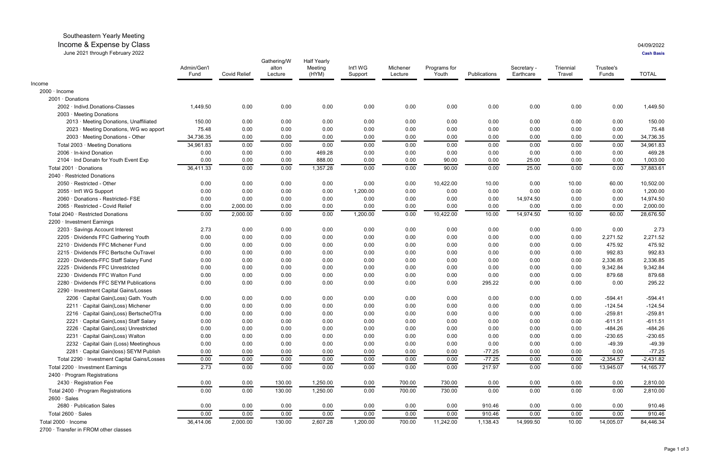## Southeastern Yearly Meeting

## Income & Expense by Class 04/09/2022

June 2021 through February 2022 **Cash Basis**

|                                              | Admin/Gen'l<br>Fund | <b>Covid Relief</b> | Gathering/W<br>alton<br>Lecture | <b>Half Yearly</b><br>Meeting<br>(HYM) | Int'l WG<br>Support | Michener<br>Lecture | Programs for<br>Youth | Publications | Secretary -<br>Earthcare | Triennial<br>Travel | Trustee's<br>Funds | <b>TOTAL</b> |
|----------------------------------------------|---------------------|---------------------|---------------------------------|----------------------------------------|---------------------|---------------------|-----------------------|--------------|--------------------------|---------------------|--------------------|--------------|
| Income                                       |                     |                     |                                 |                                        |                     |                     |                       |              |                          |                     |                    |              |
| 2000 · Income                                |                     |                     |                                 |                                        |                     |                     |                       |              |                          |                     |                    |              |
| 2001 · Donations                             |                     |                     |                                 |                                        |                     |                     |                       |              |                          |                     |                    |              |
| 2002 · Indivd.Donations-Classes              | 1,449.50            | 0.00                | 0.00                            | 0.00                                   | 0.00                | 0.00                | 0.00                  | 0.00         | 0.00                     | 0.00                | 0.00               | 1,449.50     |
| 2003 · Meeting Donations                     |                     |                     |                                 |                                        |                     |                     |                       |              |                          |                     |                    |              |
| 2013 · Meeting Donations, Unaffiliated       | 150.00              | 0.00                | 0.00                            | 0.00                                   | 0.00                | 0.00                | 0.00                  | 0.00         | 0.00                     | 0.00                | 0.00               | 150.00       |
| 2023 · Meeting Donations, WG wo apport       | 75.48               | 0.00                | 0.00                            | 0.00                                   | 0.00                | 0.00                | 0.00                  | 0.00         | 0.00                     | 0.00                | 0.00               | 75.48        |
| 2003 · Meeting Donations - Other             | 34,736.35           | 0.00                | 0.00                            | 0.00                                   | 0.00                | 0.00                | 0.00                  | 0.00         | 0.00                     | 0.00                | 0.00               | 34,736.35    |
| Total 2003 · Meeting Donations               | 34,961.83           | 0.00                | 0.00                            | 0.00                                   | 0.00                | 0.00                | 0.00                  | 0.00         | 0.00                     | 0.00                | 0.00               | 34,961.83    |
| 2006 · In-kind Donation                      | 0.00                | 0.00                | 0.00                            | 469.28                                 | 0.00                | 0.00                | 0.00                  | 0.00         | 0.00                     | 0.00                | 0.00               | 469.28       |
| 2104 · Ind Donatn for Youth Event Exp        | 0.00                | 0.00                | 0.00                            | 888.00                                 | 0.00                | 0.00                | 90.00                 | 0.00         | 25.00                    | 0.00                | 0.00               | 1,003.00     |
| Total 2001 · Donations                       | 36,411.33           | 0.00                | 0.00                            | 1,357.28                               | 0.00                | 0.00                | 90.00                 | 0.00         | 25.00                    | 0.00                | 0.00               | 37,883.61    |
| 2040 · Restricted Donations                  |                     |                     |                                 |                                        |                     |                     |                       |              |                          |                     |                    |              |
| 2050 · Restricted - Other                    | 0.00                | 0.00                | 0.00                            | 0.00                                   | 0.00                | 0.00                | 10,422.00             | 10.00        | 0.00                     | 10.00               | 60.00              | 10,502.00    |
| 2055 · Int'l WG Support                      | 0.00                | 0.00                | 0.00                            | 0.00                                   | 1,200.00            | 0.00                | 0.00                  | 0.00         | 0.00                     | 0.00                | 0.00               | 1,200.00     |
| 2060 · Donations - Restricted- FSE           | 0.00                | 0.00                | 0.00                            | 0.00                                   | 0.00                | 0.00                | 0.00                  | 0.00         | 14,974.50                | 0.00                | 0.00               | 14,974.50    |
| 2065 · Restricted - Covid Relief             | 0.00                | 2,000.00            | 0.00                            | 0.00                                   | 0.00                | 0.00                | 0.00                  | 0.00         | 0.00                     | 0.00                | 0.00               | 2,000.00     |
| Total 2040 · Restricted Donations            | 0.00                | 2,000.00            | 0.00                            | 0.00                                   | 1,200.00            | 0.00                | 10,422.00             | 10.00        | 14,974.50                | 10.00               | 60.00              | 28,676.50    |
| 2200 · Investment Earnings                   |                     |                     |                                 |                                        |                     |                     |                       |              |                          |                     |                    |              |
| 2203 · Savings Account Interest              | 2.73                | 0.00                | 0.00                            | 0.00                                   | 0.00                | 0.00                | 0.00                  | 0.00         | 0.00                     | 0.00                | 0.00               | 2.73         |
| 2205 · Dividends FFC Gathering Youth         | 0.00                | 0.00                | 0.00                            | 0.00                                   | 0.00                | 0.00                | 0.00                  | 0.00         | 0.00                     | 0.00                | 2,271.52           | 2,271.52     |
| 2210 · Dividends FFC Michener Fund           | 0.00                | 0.00                | 0.00                            | 0.00                                   | 0.00                | 0.00                | 0.00                  | 0.00         | 0.00                     | 0.00                | 475.92             | 475.92       |
| 2215 · Dividends FFC Bertsche OuTravel       | 0.00                | 0.00                | 0.00                            | 0.00                                   | 0.00                | 0.00                | 0.00                  | 0.00         | 0.00                     | 0.00                | 992.83             | 992.83       |
| 2220 · Dividends-FFC Staff Salary Fund       | 0.00                | 0.00                | 0.00                            | 0.00                                   | 0.00                | 0.00                | 0.00                  | 0.00         | 0.00                     | 0.00                | 2,336.85           | 2,336.85     |
| 2225 · Dividends FFC Unrestricted            | 0.00                | 0.00                | 0.00                            | 0.00                                   | 0.00                | 0.00                | 0.00                  | 0.00         | 0.00                     | 0.00                | 9,342.84           | 9,342.84     |
| 2230 · Dividends FFC Walton Fund             | 0.00                | 0.00                | 0.00                            | 0.00                                   | 0.00                | 0.00                | 0.00                  | 0.00         | 0.00                     | 0.00                | 879.68             | 879.68       |
| 2280 · Dividends FFC SEYM Publications       | 0.00                | 0.00                | 0.00                            | 0.00                                   | 0.00                | 0.00                | 0.00                  | 295.22       | 0.00                     | 0.00                | 0.00               | 295.22       |
| 2290 · Investment Capital Gains/Losses       |                     |                     |                                 |                                        |                     |                     |                       |              |                          |                     |                    |              |
| 2206 · Capital Gain(Loss) Gath. Youth        | 0.00                | 0.00                | 0.00                            | 0.00                                   | 0.00                | 0.00                | 0.00                  | 0.00         | 0.00                     | 0.00                | $-594.41$          | $-594.41$    |
| 2211 · Capital Gain(Loss) Michener           | 0.00                | 0.00                | 0.00                            | 0.00                                   | 0.00                | 0.00                | 0.00                  | 0.00         | 0.00                     | 0.00                | $-124.54$          | $-124.54$    |
| 2216 · Capital Gain(Loss) BertscheOTra       | 0.00                | 0.00                | 0.00                            | 0.00                                   | 0.00                | 0.00                | 0.00                  | 0.00         | 0.00                     | 0.00                | $-259.81$          | $-259.81$    |
| 2221 · Capital Gain(Loss) Staff Salary       | 0.00                | 0.00                | 0.00                            | 0.00                                   | 0.00                | 0.00                | 0.00                  | 0.00         | 0.00                     | 0.00                | $-611.51$          | $-611.51$    |
| 2226 · Capital Gain(Loss) Unrestricted       | 0.00                | 0.00                | 0.00                            | 0.00                                   | 0.00                | 0.00                | 0.00                  | 0.00         | 0.00                     | 0.00                | $-484.26$          | $-484.26$    |
| 2231 · Capital Gain(Loss) Walton             | 0.00                | 0.00                | 0.00                            | 0.00                                   | 0.00                | 0.00                | 0.00                  | 0.00         | 0.00                     | 0.00                | $-230.65$          | $-230.65$    |
| 2232 · Capital Gain (Loss) Meetinghous       | 0.00                | 0.00                | 0.00                            | 0.00                                   | 0.00                | 0.00                | 0.00                  | 0.00         | 0.00                     | 0.00                | $-49.39$           | $-49.39$     |
| 2281 · Capital Gain(loss) SEYM Publish       | 0.00                | 0.00                | 0.00                            | 0.00                                   | 0.00                | 0.00                | 0.00                  | $-77.25$     | 0.00                     | 0.00                | 0.00               | $-77.25$     |
| Total 2290 · Investment Capital Gains/Losses | 0.00                | 0.00                | 0.00                            | 0.00                                   | 0.00                | 0.00                | 0.00                  | $-77.25$     | 0.00                     | 0.00                | $-2,354.57$        | $-2,431.82$  |
| Total 2200 · Investment Earnings             | 2.73                | 0.00                | 0.00                            | 0.00                                   | 0.00                | 0.00                | 0.00                  | 217.97       | 0.00                     | 0.00                | 13,945.07          | 14,165.77    |
| 2400 · Program Registrations                 |                     |                     |                                 |                                        |                     |                     |                       |              |                          |                     |                    |              |
| 2430 · Registration Fee                      | 0.00                | 0.00                | 130.00                          | 1,250.00                               | 0.00                | 700.00              | 730.00                | 0.00         | 0.00                     | 0.00                | 0.00               | 2,810.00     |
| Total 2400 · Program Registrations           | 0.00                | 0.00                | 130.00                          | 1,250.00                               | 0.00                | 700.00              | 730.00                | 0.00         | 0.00                     | 0.00                | 0.00               | 2,810.00     |
| $2600 \cdot Sales$                           |                     |                     |                                 |                                        |                     |                     |                       |              |                          |                     |                    |              |
| 2680 · Publication Sales                     | 0.00                | 0.00                | 0.00                            | 0.00                                   | 0.00                | 0.00                | 0.00                  | 910.46       | 0.00                     | 0.00                | 0.00               | 910.46       |
| Total 2600 · Sales                           | 0.00                | 0.00                | 0.00                            | 0.00                                   | 0.00                | 0.00                | 0.00                  | 910.46       | 0.00                     | 0.00                | 0.00               | 910.46       |
| Total 2000 · Income                          | 36,414.06           | 2,000.00            | 130.00                          | 2,607.28                               | 1,200.00            | 700.00              | 11,242.00             | 1,138.43     | 14,999.50                | 10.00               | 14,005.07          | 84,446.34    |
|                                              |                     |                     |                                 |                                        |                     |                     |                       |              |                          |                     |                    |              |

2700 ꞏ Transfer in FROM other classes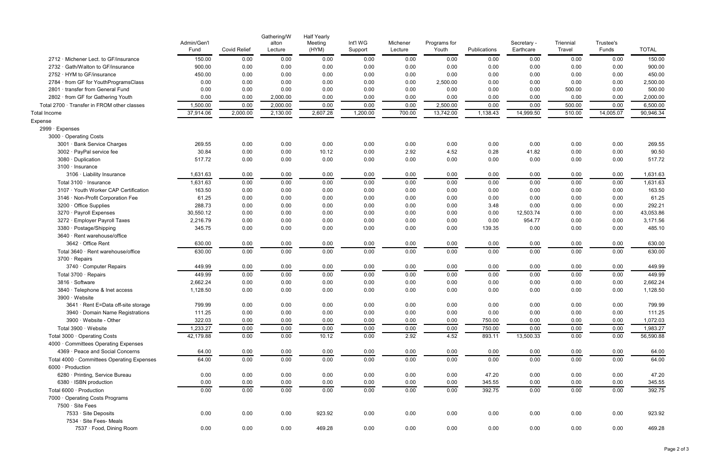|                                             | Admin/Gen'l<br>Fund | <b>Covid Relief</b> | Gathering/W<br>alton<br>Lecture | <b>Half Yearly</b><br>Meeting<br>(HYM) | Int'l WG<br>Support | Michener<br>Lecture | Programs for<br>Youth | Publications | Secretary -<br>Earthcare | Triennial<br>Travel | Trustee's<br>Funds | <b>TOTAL</b> |
|---------------------------------------------|---------------------|---------------------|---------------------------------|----------------------------------------|---------------------|---------------------|-----------------------|--------------|--------------------------|---------------------|--------------------|--------------|
| 2712 · Michener Lect. to GF/insurance       | 150.00              | 0.00                | 0.00                            | 0.00                                   | 0.00                | 0.00                | 0.00                  | 0.00         | 0.00                     | 0.00                | 0.00               | 150.00       |
| 2732 · Gath/Walton to GF/insurance          | 900.00              | 0.00                | 0.00                            | 0.00                                   | 0.00                | 0.00                | 0.00                  | 0.00         | 0.00                     | 0.00                | 0.00               | 900.00       |
| 2752 · HYM to GF/insurance                  | 450.00              | 0.00                | 0.00                            | 0.00                                   | 0.00                | 0.00                | 0.00                  | 0.00         | 0.00                     | 0.00                | 0.00               | 450.00       |
| 2784 · from GF for YouthProgramsClass       | 0.00                | 0.00                | 0.00                            | 0.00                                   | 0.00                | 0.00                | 2,500.00              | 0.00         | 0.00                     | 0.00                | 0.00               | 2,500.00     |
| 2801 · transfer from General Fund           | 0.00                | 0.00                | 0.00                            | 0.00                                   | 0.00                | 0.00                | 0.00                  | 0.00         | 0.00                     | 500.00              | 0.00               | 500.00       |
| 2802 · from GF for Gathering Youth          | 0.00                | 0.00                | 2,000.00                        | 0.00                                   | 0.00                | 0.00                | 0.00                  | 0.00         | 0.00                     | 0.00                | 0.00               | 2,000.00     |
| Total 2700 · Transfer in FROM other classes | 1,500.00            | 0.00                | 2,000.00                        | 0.00                                   | 0.00                | 0.00                | 2,500.00              | 0.00         | 0.00                     | 500.00              | 0.00               | 6,500.00     |
| Total Income                                | 37,914.06           | 2,000.00            | 2,130.00                        | 2,607.28                               | 1,200.00            | 700.00              | 13,742.00             | 1,138.43     | 14,999.50                | 510.00              | 14,005.07          | 90,946.34    |
| Expense                                     |                     |                     |                                 |                                        |                     |                     |                       |              |                          |                     |                    |              |
| 2999 · Expenses                             |                     |                     |                                 |                                        |                     |                     |                       |              |                          |                     |                    |              |
| 3000 Operating Costs                        |                     |                     |                                 |                                        |                     |                     |                       |              |                          |                     |                    |              |
| 3001 · Bank Service Charges                 | 269.55              | 0.00                | 0.00                            | 0.00                                   | 0.00                | 0.00                | 0.00                  | 0.00         | 0.00                     | 0.00                | 0.00               | 269.55       |
| 3002 · PayPal service fee                   | 30.84               | 0.00                | 0.00                            | 10.12                                  | 0.00                | 2.92                | 4.52                  | 0.28         | 41.82                    | 0.00                | 0.00               | 90.50        |
| 3080 · Duplication                          | 517.72              | 0.00                | 0.00                            | 0.00                                   | 0.00                | 0.00                | 0.00                  | 0.00         | 0.00                     | 0.00                | 0.00               | 517.72       |
| 3100 · Insurance                            |                     |                     |                                 |                                        |                     |                     |                       |              |                          |                     |                    |              |
| 3106 · Liability Insurance                  | 1,631.63            | 0.00                | 0.00                            | 0.00                                   | 0.00                | 0.00                | 0.00                  | 0.00         | 0.00                     | 0.00                | 0.00               | 1,631.63     |
| Total 3100 · Insurance                      | 1,631.63            | 0.00                | 0.00                            | 0.00                                   | 0.00                | 0.00                | 0.00                  | 0.00         | 0.00                     | 0.00                | 0.00               | 1,631.63     |
| 3107 · Youth Worker CAP Certification       | 163.50              | 0.00                | 0.00                            | 0.00                                   | 0.00                | 0.00                | 0.00                  | 0.00         | 0.00                     | 0.00                | 0.00               | 163.50       |
| 3146 · Non-Profit Corporation Fee           | 61.25               | 0.00                | 0.00                            | 0.00                                   | 0.00                | 0.00                | 0.00                  | 0.00         | 0.00                     | 0.00                | 0.00               | 61.25        |
| 3200 · Office Supplies                      | 288.73              | 0.00                | 0.00                            | 0.00                                   | 0.00                | 0.00                | 0.00                  | 3.48         | 0.00                     | 0.00                | 0.00               | 292.21       |
| 3270 · Payroll Expenses                     | 30,550.12           | 0.00                | 0.00                            | 0.00                                   | 0.00                | 0.00                | 0.00                  | 0.00         | 12,503.74                | 0.00                | 0.00               | 43,053.86    |
| 3272 · Employer Payroll Taxes               | 2,216.79            | 0.00                | 0.00                            | 0.00                                   | 0.00                | 0.00                | 0.00                  | 0.00         | 954.77                   | 0.00                | 0.00               | 3,171.56     |
| 3380 · Postage/Shipping                     | 345.75              | 0.00                | 0.00                            | 0.00                                   | 0.00                | 0.00                | 0.00                  | 139.35       | 0.00                     | 0.00                | 0.00               | 485.10       |
| 3640 · Rent warehouse/office                |                     |                     |                                 |                                        |                     |                     |                       |              |                          |                     |                    |              |
| 3642 · Office Rent                          | 630.00              | 0.00                | 0.00                            | 0.00                                   | 0.00                | 0.00                | 0.00                  | 0.00         | 0.00                     | 0.00                | 0.00               | 630.00       |
| Total 3640 · Rent warehouse/office          | 630.00              | 0.00                | 0.00                            | 0.00                                   | 0.00                | 0.00                | 0.00                  | 0.00         | 0.00                     | 0.00                | 0.00               | 630.00       |
| 3700 · Repairs                              |                     |                     |                                 |                                        |                     |                     |                       |              |                          |                     |                    |              |
| 3740 · Computer Repairs                     | 449.99              | 0.00                | 0.00                            | 0.00                                   | 0.00                | 0.00                | 0.00                  | 0.00         | 0.00                     | 0.00                | 0.00               | 449.99       |
| Total 3700 · Repairs                        | 449.99              | 0.00                | 0.00                            | 0.00                                   | 0.00                | 0.00                | 0.00                  | 0.00         | 0.00                     | 0.00                | 0.00               | 449.99       |
| 3816 · Software                             | 2,662.24            | 0.00                | 0.00                            | 0.00                                   | 0.00                | 0.00                | 0.00                  | 0.00         | 0.00                     | 0.00                | 0.00               | 2,662.24     |
| 3840 · Telephone & Inet access              | 1,128.50            | 0.00                | 0.00                            | 0.00                                   | 0.00                | 0.00                | 0.00                  | 0.00         | 0.00                     | 0.00                | 0.00               | 1,128.50     |
| 3900 · Website                              |                     |                     |                                 |                                        |                     |                     |                       |              |                          |                     |                    |              |
| 3641 · Rent E=Data off-site storage         | 799.99              | 0.00                | 0.00                            | 0.00                                   | 0.00                | 0.00                | 0.00                  | 0.00         | 0.00                     | 0.00                | 0.00               | 799.99       |
| 3940 Domain Name Registrations              | 111.25              | 0.00                | 0.00                            | 0.00                                   | 0.00                | 0.00                | 0.00                  | 0.00         | 0.00                     | 0.00                | 0.00               | 111.25       |
| 3900 · Website - Other                      | 322.03              | 0.00                | 0.00                            | 0.00                                   | 0.00                | 0.00                | 0.00                  | 750.00       | 0.00                     | 0.00                | 0.00               | 1,072.03     |
| Total 3900 · Website                        | 1,233.27            | 0.00                | 0.00                            | 0.00                                   | 0.00                | 0.00                | 0.00                  | 750.00       | 0.00                     | 0.00                | 0.00               | 1,983.27     |
| Total 3000 · Operating Costs                | 42,179.88           | 0.00                | 0.00                            | 10.12                                  | 0.00                | 2.92                | 4.52                  | 893.11       | 13,500.33                | 0.00                | 0.00               | 56,590.88    |
| 4000 Committees Operating Expenses          |                     |                     |                                 |                                        |                     |                     |                       |              |                          |                     |                    |              |
| 4369 · Peace and Social Concerns            | 64.00               | 0.00                | 0.00                            | 0.00                                   | 0.00                | 0.00                | 0.00                  | 0.00         | 0.00                     | 0.00                | 0.00               | 64.00        |
| Total 4000 · Committees Operating Expenses  | 64.00               | 0.00                | 0.00                            | 0.00                                   | 0.00                | 0.00                | 0.00                  | 0.00         | 0.00                     | 0.00                | 0.00               | 64.00        |
| 6000 · Production                           |                     |                     |                                 |                                        |                     |                     |                       |              |                          |                     |                    |              |
| 6280 · Printing, Service Bureau             | 0.00                | 0.00                | 0.00                            | 0.00                                   | 0.00                | 0.00                | 0.00                  | 47.20        | 0.00                     | 0.00                | 0.00               | 47.20        |
| 6380 · ISBN production                      | 0.00                | 0.00                | 0.00                            | 0.00                                   | 0.00                | 0.00                | 0.00                  | 345.55       | 0.00                     | 0.00                | 0.00               | 345.55       |
| Total 6000 · Production                     | 0.00                | 0.00                | 0.00                            | 0.00                                   | 0.00                | 0.00                | 0.00                  | 392.75       | 0.00                     | 0.00                | 0.00               | 392.75       |
| 7000 Operating Costs Programs               |                     |                     |                                 |                                        |                     |                     |                       |              |                          |                     |                    |              |
| 7500 · Site Fees                            |                     |                     |                                 |                                        |                     |                     |                       |              |                          |                     |                    |              |
| 7533 · Site Deposits                        | 0.00                | 0.00                | 0.00                            | 923.92                                 | 0.00                | 0.00                | 0.00                  | 0.00         | 0.00                     | 0.00                | 0.00               | 923.92       |
| 7534 · Site Fees- Meals                     |                     |                     |                                 |                                        |                     |                     |                       |              |                          |                     |                    |              |
| 7537 · Food, Dining Room                    | 0.00                | 0.00                | 0.00                            | 469.28                                 | 0.00                | 0.00                | 0.00                  | 0.00         | 0.00                     | 0.00                | 0.00               | 469.28       |
|                                             |                     |                     |                                 |                                        |                     |                     |                       |              |                          |                     |                    |              |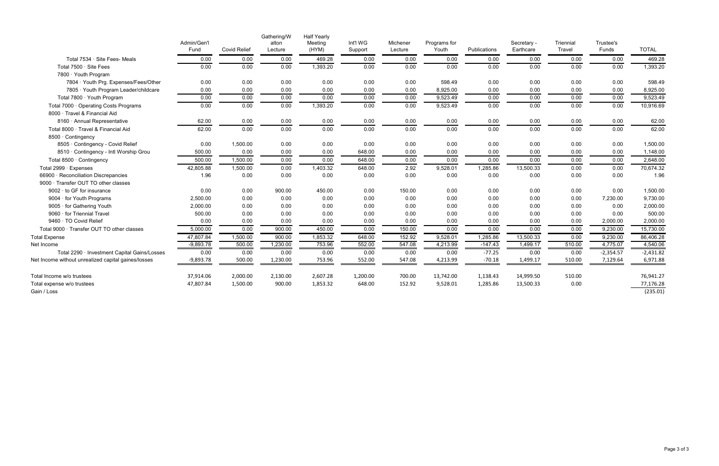|                                                     | Admin/Gen'l<br>Fund | <b>Covid Relief</b> | Gathering/W<br>alton<br>Lecture | <b>Half Yearly</b><br>Meeting<br>(HYM) | Int'l WG<br>Support | Michener<br>Lecture | Programs for<br>Youth | Publications | Secretary -<br>Earthcare | Triennial<br>Travel | Trustee's<br>Funds | <b>TOTAL</b> |
|-----------------------------------------------------|---------------------|---------------------|---------------------------------|----------------------------------------|---------------------|---------------------|-----------------------|--------------|--------------------------|---------------------|--------------------|--------------|
| Total 7534 · Site Fees- Meals                       | 0.00                | 0.00                | 0.00                            | 469.28                                 | 0.00                | 0.00                | 0.00                  | 0.00         | 0.00                     | 0.00                | 0.00               | 469.28       |
| Total 7500 · Site Fees                              | 0.00                | 0.00                | 0.00                            | 1,393.20                               | 0.00                | 0.00                | 0.00                  | 0.00         | 0.00                     | 0.00                | 0.00               | 1,393.20     |
| 7800 $\cdot$ Youth Program                          |                     |                     |                                 |                                        |                     |                     |                       |              |                          |                     |                    |              |
| 7804 · Youth Prg. Expenses/Fees/Other               | 0.00                | 0.00                | 0.00                            | 0.00                                   | 0.00                | 0.00                | 598.49                | 0.00         | 0.00                     | 0.00                | 0.00               | 598.49       |
| 7805 Youth Program Leader/childcare                 | 0.00                | 0.00                | 0.00                            | 0.00                                   | 0.00                | 0.00                | 8,925.00              | 0.00         | 0.00                     | 0.00                | 0.00               | 8,925.00     |
| Total 7800 · Youth Program                          | 0.00                | 0.00                | 0.00                            | 0.00                                   | 0.00                | 0.00                | 9,523.49              | 0.00         | 0.00                     | 0.00                | 0.00               | 9,523.49     |
| Total 7000 · Operating Costs Programs               | 0.00                | 0.00                | 0.00                            | 1,393.20                               | 0.00                | 0.00                | 9,523.49              | 0.00         | 0.00                     | 0.00                | 0.00               | 10,916.69    |
| 8000 · Travel & Financial Aid                       |                     |                     |                                 |                                        |                     |                     |                       |              |                          |                     |                    |              |
| 8160 · Annual Representative                        | 62.00               | 0.00                | 0.00                            | 0.00                                   | 0.00                | 0.00                | 0.00                  | 0.00         | 0.00                     | 0.00                | 0.00               | 62.00        |
| Total 8000 · Travel & Financial Aid                 | 62.00               | 0.00                | 0.00                            | 0.00                                   | 0.00                | 0.00                | 0.00                  | 0.00         | 0.00                     | 0.00                | 0.00               | 62.00        |
| 8500 · Contingency                                  |                     |                     |                                 |                                        |                     |                     |                       |              |                          |                     |                    |              |
| 8505 · Contingency - Covid Relief                   | 0.00                | 1,500.00            | 0.00                            | 0.00                                   | 0.00                | 0.00                | 0.00                  | 0.00         | 0.00                     | 0.00                | 0.00               | 1,500.00     |
| 8510 Contingency - Intl Worship Grou                | 500.00              | 0.00                | 0.00                            | 0.00                                   | 648.00              | 0.00                | 0.00                  | 0.00         | 0.00                     | 0.00                | 0.00               | 1,148.00     |
| Total 8500 · Contingency                            | 500.00              | 1,500.00            | 0.00                            | 0.00                                   | 648.00              | 0.00                | 0.00                  | 0.00         | 0.00                     | 0.00                | 0.00               | 2,648.00     |
| Total 2999 · Expenses                               | 42,805.88           | 1,500.00            | 0.00                            | 1,403.32                               | 648.00              | 2.92                | 9,528.01              | 1,285.86     | 13,500.33                | 0.00                | 0.00               | 70,674.32    |
| 66900 · Reconciliation Discrepancies                | 1.96                | 0.00                | 0.00                            | 0.00                                   | 0.00                | 0.00                | 0.00                  | 0.00         | 0.00                     | 0.00                | 0.00               | 1.96         |
| 9000 Transfer OUT TO other classes                  |                     |                     |                                 |                                        |                     |                     |                       |              |                          |                     |                    |              |
| $9002 \cdot$ to GF for insurance                    | 0.00                | 0.00                | 900.00                          | 450.00                                 | 0.00                | 150.00              | 0.00                  | 0.00         | 0.00                     | 0.00                | 0.00               | 1,500.00     |
| 9004 · for Youth Programs                           | 2,500.00            | 0.00                | 0.00                            | 0.00                                   | 0.00                | 0.00                | 0.00                  | 0.00         | 0.00                     | 0.00                | 7,230.00           | 9,730.00     |
| 9005 · for Gathering Youth                          | 2,000.00            | 0.00                | 0.00                            | 0.00                                   | 0.00                | 0.00                | 0.00                  | 0.00         | 0.00                     | 0.00                | 0.00               | 2,000.00     |
| 9060 · for Triennial Travel                         | 500.00              | 0.00                | 0.00                            | 0.00                                   | 0.00                | 0.00                | 0.00                  | 0.00         | 0.00                     | 0.00                | 0.00               | 500.00       |
| 9460 · TO Covid Relief                              | 0.00                | 0.00                | 0.00                            | 0.00                                   | 0.00                | 0.00                | 0.00                  | 0.00         | 0.00                     | 0.00                | 2,000.00           | 2,000.00     |
| Total 9000 · Transfer OUT TO other classes          | 5,000.00            | 0.00                | 900.00                          | 450.00                                 | 0.00                | 150.00              | 0.00                  | 0.00         | 0.00                     | 0.00                | 9,230.00           | 15,730.00    |
| <b>Total Expense</b>                                | 47,807.84           | 1,500.00            | 900.00                          | 1,853.32                               | 648.00              | 152.92              | 9,528.01              | 1,285.86     | 13,500.33                | 0.00                | 9,230.00           | 86,406.28    |
| Net Income                                          | $-9,893.78$         | 500.00              | 1,230.00                        | 753.96                                 | 552.00              | 547.08              | 4,213.99              | $-147.43$    | 1,499.17                 | 510.00              | 4,775.07           | 4,540.06     |
| Total 2290 · Investment Capital Gains/Losses        | 0.00                | 0.00                | 0.00                            | 0.00                                   | 0.00                | 0.00                | 0.00                  | $-77.25$     | 0.00                     | 0.00                | $-2,354.57$        | $-2,431.82$  |
| Net Income without unrealized capital gaines/losses | $-9,893.78$         | 500.00              | 1,230.00                        | 753.96                                 | 552.00              | 547.08              | 4,213.99              | $-70.18$     | 1,499.17                 | 510.00              | 7,129.64           | 6,971.88     |
| Total Income w/o trustees                           | 37,914.06           | 2,000.00            | 2,130.00                        | 2,607.28                               | 1,200.00            | 700.00              | 13,742.00             | 1,138.43     | 14,999.50                | 510.00              |                    | 76,941.27    |
| Total expense w/o trustees                          | 47,807.84           | 1,500.00            | 900.00                          | 1,853.32                               | 648.00              | 152.92              | 9,528.01              | 1,285.86     | 13,500.33                | 0.00                |                    | 77,176.28    |
| Gain / Loss                                         |                     |                     |                                 |                                        |                     |                     |                       |              |                          |                     |                    | (235.01)     |